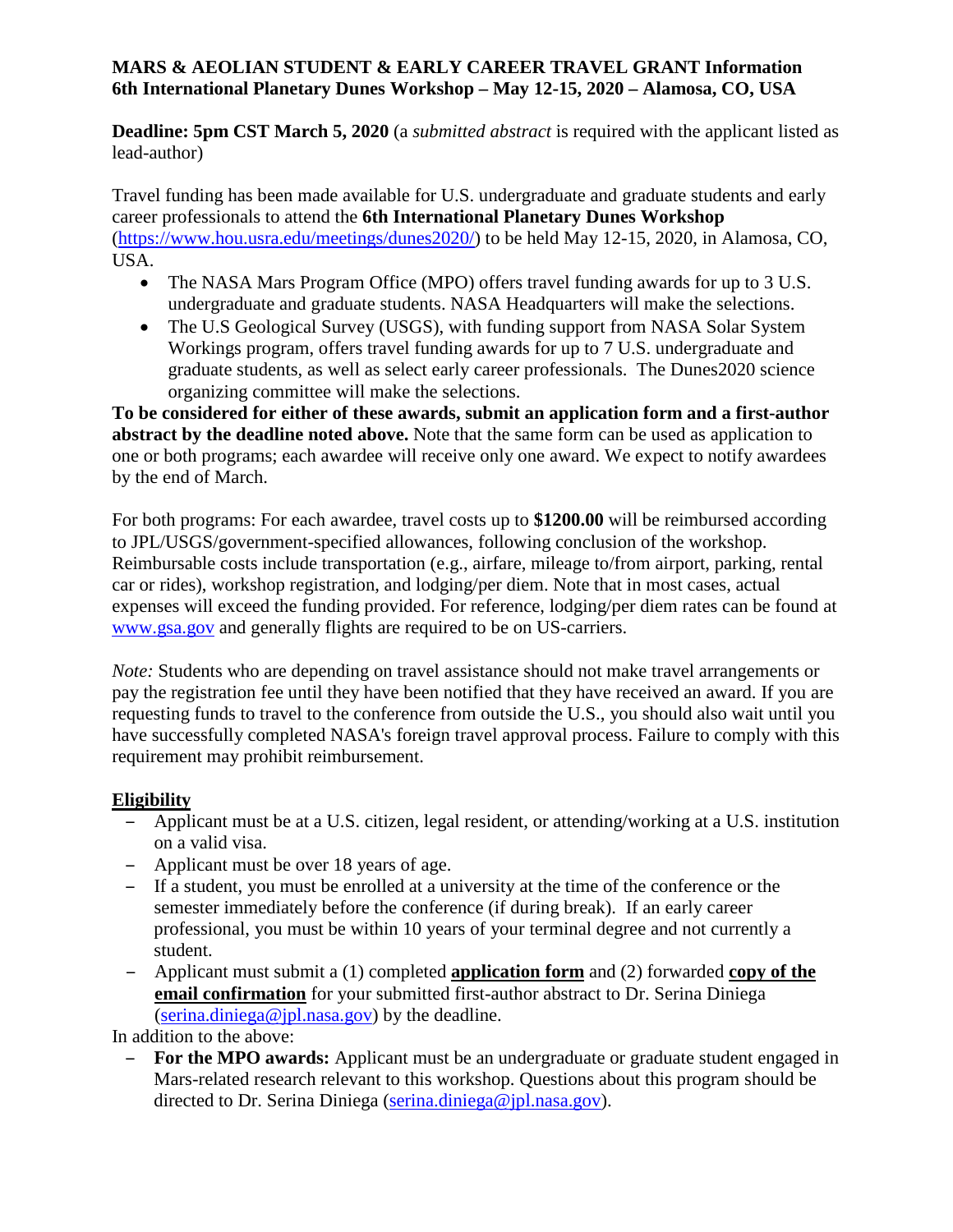#### **MARS & AEOLIAN STUDENT & EARLY CAREER TRAVEL GRANT Information 6th International Planetary Dunes Workshop – May 12-15, 2020 – Alamosa, CO, USA**

**Deadline: 5pm CST March 5, 2020** (a *submitted abstract* is required with the applicant listed as lead-author)

Travel funding has been made available for U.S. undergraduate and graduate students and early career professionals to attend the **6th International Planetary Dunes Workshop** [\(https://www.hou.usra.edu/meetings/dunes2020/\)](https://www.hou.usra.edu/meetings/dunes2020/) to be held May 12-15, 2020, in Alamosa, CO, USA.

- The NASA Mars Program Office (MPO) offers travel funding awards for up to 3 U.S. undergraduate and graduate students. NASA Headquarters will make the selections.
- The U.S Geological Survey (USGS), with funding support from NASA Solar System Workings program, offers travel funding awards for up to 7 U.S. undergraduate and graduate students, as well as select early career professionals. The Dunes2020 science organizing committee will make the selections.

**To be considered for either of these awards, submit an application form and a first-author abstract by the deadline noted above.** Note that the same form can be used as application to one or both programs; each awardee will receive only one award. We expect to notify awardees by the end of March.

For both programs: For each awardee, travel costs up to **\$1200.00** will be reimbursed according to JPL/USGS/government-specified allowances, following conclusion of the workshop. Reimbursable costs include transportation (e.g., airfare, mileage to/from airport, parking, rental car or rides), workshop registration, and lodging/per diem. Note that in most cases, actual expenses will exceed the funding provided. For reference, lodging/per diem rates can be found at [www.gsa.gov](http://www.gsa.gov/) and generally flights are required to be on US-carriers.

*Note:* Students who are depending on travel assistance should not make travel arrangements or pay the registration fee until they have been notified that they have received an award. If you are requesting funds to travel to the conference from outside the U.S., you should also wait until you have successfully completed NASA's foreign travel approval process. Failure to comply with this requirement may prohibit reimbursement.

### **Eligibility**

- Applicant must be at a U.S. citizen, legal resident, or attending/working at a U.S. institution on a valid visa.
- Applicant must be over 18 years of age.
- If a student, you must be enrolled at a university at the time of the conference or the semester immediately before the conference (if during break). If an early career professional, you must be within 10 years of your terminal degree and not currently a student.
- Applicant must submit a (1) completed **application form** and (2) forwarded **copy of the email confirmation** for your submitted first-author abstract to Dr. Serina Diniega  $(serina.diniega@ipl.nasa.gov)$  by the deadline.

In addition to the above:

– **For the MPO awards:** Applicant must be an undergraduate or graduate student engaged in Mars-related research relevant to this workshop. Questions about this program should be directed to Dr. Serina Diniega (serina.diniega@ipl.nasa.gov).